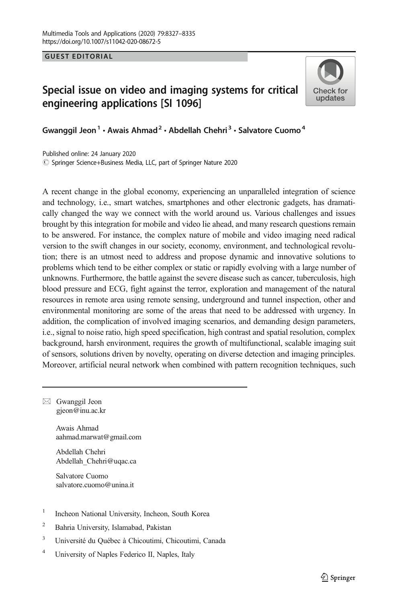GUEST EDITORIAL

## Special issue on video and imaging systems for critical engineering applications [SI 1096]



Gwanggil Jeon<sup>1</sup> • Awais Ahmad<sup>2</sup> • Abdellah Chehri<sup>3</sup> • Salvatore Cuomo<sup>4</sup>

© Springer Science+Business Media, LLC, part of Springer Nature 2020 Published online: 24 January 2020

A recent change in the global economy, experiencing an unparalleled integration of science and technology, i.e., smart watches, smartphones and other electronic gadgets, has dramatically changed the way we connect with the world around us. Various challenges and issues brought by this integration for mobile and video lie ahead, and many research questions remain to be answered. For instance, the complex nature of mobile and video imaging need radical version to the swift changes in our society, economy, environment, and technological revolution; there is an utmost need to address and propose dynamic and innovative solutions to problems which tend to be either complex or static or rapidly evolving with a large number of unknowns. Furthermore, the battle against the severe disease such as cancer, tuberculosis, high blood pressure and ECG, fight against the terror, exploration and management of the natural resources in remote area using remote sensing, underground and tunnel inspection, other and environmental monitoring are some of the areas that need to be addressed with urgency. In addition, the complication of involved imaging scenarios, and demanding design parameters, i.e., signal to noise ratio, high speed specification, high contrast and spatial resolution, complex background, harsh environment, requires the growth of multifunctional, scalable imaging suit of sensors, solutions driven by novelty, operating on diverse detection and imaging principles. Moreover, artificial neural network when combined with pattern recognition techniques, such

 $\boxtimes$  Gwanggil Jeon [gjeon@inu.ac.kr](mailto:gjeon@inu.ac.kr)

> Awais Ahmad aahmad.marwat@gmail.com

Abdellah Chehri Abdellah\_Chehri@uqac.ca

Salvatore Cuomo salvatore.cuomo@unina.it

- <sup>1</sup> Incheon National University, Incheon, South Korea
- <sup>2</sup> Bahria University, Islamabad, Pakistan
- <sup>3</sup> Université du Québec à Chicoutimi, Chicoutimi, Canada
- <sup>4</sup> University of Naples Federico II, Naples, Italy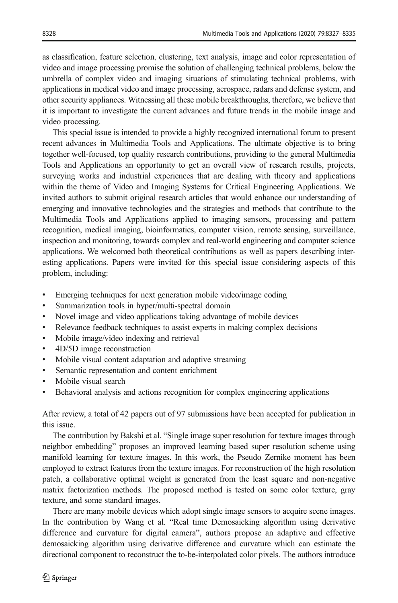as classification, feature selection, clustering, text analysis, image and color representation of video and image processing promise the solution of challenging technical problems, below the umbrella of complex video and imaging situations of stimulating technical problems, with applications in medical video and image processing, aerospace, radars and defense system, and other security appliances. Witnessing all these mobile breakthroughs, therefore, we believe that it is important to investigate the current advances and future trends in the mobile image and video processing.

This special issue is intended to provide a highly recognized international forum to present recent advances in Multimedia Tools and Applications. The ultimate objective is to bring together well-focused, top quality research contributions, providing to the general Multimedia Tools and Applications an opportunity to get an overall view of research results, projects, surveying works and industrial experiences that are dealing with theory and applications within the theme of Video and Imaging Systems for Critical Engineering Applications. We invited authors to submit original research articles that would enhance our understanding of emerging and innovative technologies and the strategies and methods that contribute to the Multimedia Tools and Applications applied to imaging sensors, processing and pattern recognition, medical imaging, bioinformatics, computer vision, remote sensing, surveillance, inspection and monitoring, towards complex and real-world engineering and computer science applications. We welcomed both theoretical contributions as well as papers describing interesting applications. Papers were invited for this special issue considering aspects of this problem, including:

- & Emerging techniques for next generation mobile video/image coding
- Summarization tools in hyper/multi-spectral domain
- & Novel image and video applications taking advantage of mobile devices
- & Relevance feedback techniques to assist experts in making complex decisions
- & Mobile image/video indexing and retrieval
- & 4D/5D image reconstruction
- & Mobile visual content adaptation and adaptive streaming
- Semantic representation and content enrichment
- Mobile visual search
- Behavioral analysis and actions recognition for complex engineering applications

After review, a total of 42 papers out of 97 submissions have been accepted for publication in this issue.

The contribution by Bakshi et al. "Single image super resolution for texture images through neighbor embedding" proposes an improved learning based super resolution scheme using manifold learning for texture images. In this work, the Pseudo Zernike moment has been employed to extract features from the texture images. For reconstruction of the high resolution patch, a collaborative optimal weight is generated from the least square and non-negative matrix factorization methods. The proposed method is tested on some color texture, gray texture, and some standard images.

There are many mobile devices which adopt single image sensors to acquire scene images. In the contribution by Wang et al. "Real time Demosaicking algorithm using derivative difference and curvature for digital camera", authors propose an adaptive and effective demosaicking algorithm using derivative difference and curvature which can estimate the directional component to reconstruct the to-be-interpolated color pixels. The authors introduce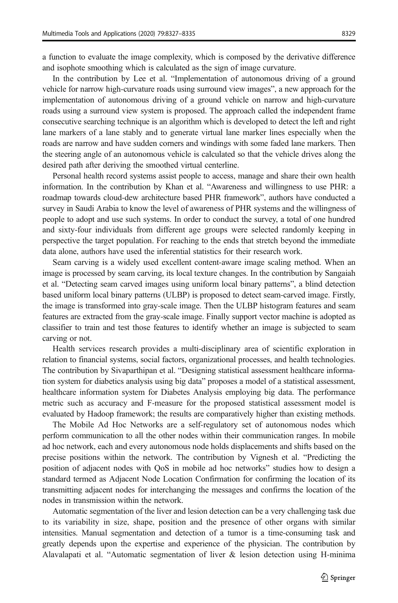a function to evaluate the image complexity, which is composed by the derivative difference and isophote smoothing which is calculated as the sign of image curvature.

In the contribution by Lee et al. "Implementation of autonomous driving of a ground vehicle for narrow high-curvature roads using surround view images", a new approach for the implementation of autonomous driving of a ground vehicle on narrow and high-curvature roads using a surround view system is proposed. The approach called the independent frame consecutive searching technique is an algorithm which is developed to detect the left and right lane markers of a lane stably and to generate virtual lane marker lines especially when the roads are narrow and have sudden corners and windings with some faded lane markers. Then the steering angle of an autonomous vehicle is calculated so that the vehicle drives along the desired path after deriving the smoothed virtual centerline.

Personal health record systems assist people to access, manage and share their own health information. In the contribution by Khan et al. "Awareness and willingness to use PHR: a roadmap towards cloud-dew architecture based PHR framework", authors have conducted a survey in Saudi Arabia to know the level of awareness of PHR systems and the willingness of people to adopt and use such systems. In order to conduct the survey, a total of one hundred and sixty-four individuals from different age groups were selected randomly keeping in perspective the target population. For reaching to the ends that stretch beyond the immediate data alone, authors have used the inferential statistics for their research work.

Seam carving is a widely used excellent content-aware image scaling method. When an image is processed by seam carving, its local texture changes. In the contribution by Sangaiah et al. "Detecting seam carved images using uniform local binary patterns", a blind detection based uniform local binary patterns (ULBP) is proposed to detect seam-carved image. Firstly, the image is transformed into gray-scale image. Then the ULBP histogram features and seam features are extracted from the gray-scale image. Finally support vector machine is adopted as classifier to train and test those features to identify whether an image is subjected to seam carving or not.

Health services research provides a multi-disciplinary area of scientific exploration in relation to financial systems, social factors, organizational processes, and health technologies. The contribution by Sivaparthipan et al. "Designing statistical assessment healthcare information system for diabetics analysis using big data" proposes a model of a statistical assessment, healthcare information system for Diabetes Analysis employing big data. The performance metric such as accuracy and F-measure for the proposed statistical assessment model is evaluated by Hadoop framework; the results are comparatively higher than existing methods.

The Mobile Ad Hoc Networks are a self-regulatory set of autonomous nodes which perform communication to all the other nodes within their communication ranges. In mobile ad hoc network, each and every autonomous node holds displacements and shifts based on the precise positions within the network. The contribution by Vignesh et al. "Predicting the position of adjacent nodes with QoS in mobile ad hoc networks" studies how to design a standard termed as Adjacent Node Location Confirmation for confirming the location of its transmitting adjacent nodes for interchanging the messages and confirms the location of the nodes in transmission within the network.

Automatic segmentation of the liver and lesion detection can be a very challenging task due to its variability in size, shape, position and the presence of other organs with similar intensities. Manual segmentation and detection of a tumor is a time-consuming task and greatly depends upon the expertise and experience of the physician. The contribution by Alavalapati et al. "Automatic segmentation of liver & lesion detection using H-minima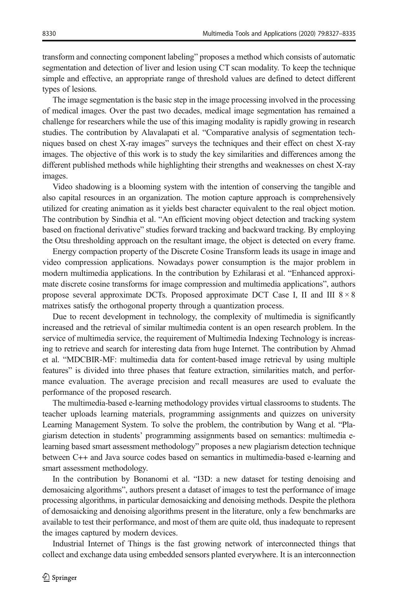transform and connecting component labeling" proposes a method which consists of automatic segmentation and detection of liver and lesion using CT scan modality. To keep the technique simple and effective, an appropriate range of threshold values are defined to detect different types of lesions.

The image segmentation is the basic step in the image processing involved in the processing of medical images. Over the past two decades, medical image segmentation has remained a challenge for researchers while the use of this imaging modality is rapidly growing in research studies. The contribution by Alavalapati et al. "Comparative analysis of segmentation techniques based on chest X-ray images" surveys the techniques and their effect on chest X-ray images. The objective of this work is to study the key similarities and differences among the different published methods while highlighting their strengths and weaknesses on chest X-ray images.

Video shadowing is a blooming system with the intention of conserving the tangible and also capital resources in an organization. The motion capture approach is comprehensively utilized for creating animation as it yields best character equivalent to the real object motion. The contribution by Sindhia et al. "An efficient moving object detection and tracking system based on fractional derivative" studies forward tracking and backward tracking. By employing the Otsu thresholding approach on the resultant image, the object is detected on every frame.

Energy compaction property of the Discrete Cosine Transform leads its usage in image and video compression applications. Nowadays power consumption is the major problem in modern multimedia applications. In the contribution by Ezhilarasi et al. "Enhanced approximate discrete cosine transforms for image compression and multimedia applications", authors propose several approximate DCTs. Proposed approximate DCT Case I, II and III  $8 \times 8$ matrixes satisfy the orthogonal property through a quantization process.

Due to recent development in technology, the complexity of multimedia is significantly increased and the retrieval of similar multimedia content is an open research problem. In the service of multimedia service, the requirement of Multimedia Indexing Technology is increasing to retrieve and search for interesting data from huge Internet. The contribution by Ahmad et al. "MDCBIR-MF: multimedia data for content-based image retrieval by using multiple features" is divided into three phases that feature extraction, similarities match, and performance evaluation. The average precision and recall measures are used to evaluate the performance of the proposed research.

The multimedia-based e-learning methodology provides virtual classrooms to students. The teacher uploads learning materials, programming assignments and quizzes on university Learning Management System. To solve the problem, the contribution by Wang et al. "Plagiarism detection in students' programming assignments based on semantics: multimedia elearning based smart assessment methodology" proposes a new plagiarism detection technique between C++ and Java source codes based on semantics in multimedia-based e-learning and smart assessment methodology.

In the contribution by Bonanomi et al. "I3D: a new dataset for testing denoising and demosaicing algorithms", authors present a dataset of images to test the performance of image processing algorithms, in particular demosaicking and denoising methods. Despite the plethora of demosaicking and denoising algorithms present in the literature, only a few benchmarks are available to test their performance, and most of them are quite old, thus inadequate to represent the images captured by modern devices.

Industrial Internet of Things is the fast growing network of interconnected things that collect and exchange data using embedded sensors planted everywhere. It is an interconnection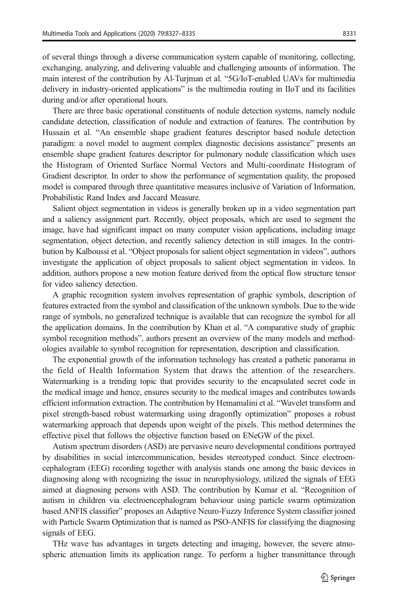of several things through a diverse communication system capable of monitoring, collecting, exchanging, analyzing, and delivering valuable and challenging amounts of information. The main interest of the contribution by Al-Turjman et al. "5G/IoT-enabled UAVs for multimedia delivery in industry-oriented applications" is the multimedia routing in IIoT and its facilities during and/or after operational hours.

There are three basic operational constituents of nodule detection systems, namely nodule candidate detection, classification of nodule and extraction of features. The contribution by Hussain et al. "An ensemble shape gradient features descriptor based nodule detection paradigm: a novel model to augment complex diagnostic decisions assistance" presents an ensemble shape gradient features descriptor for pulmonary nodule classification which uses the Histogram of Oriented Surface Normal Vectors and Multi-coordinate Histogram of Gradient descriptor. In order to show the performance of segmentation quality, the proposed model is compared through three quantitative measures inclusive of Variation of Information, Probabilistic Rand Index and Jaccard Measure.

Salient object segmentation in videos is generally broken up in a video segmentation part and a saliency assignment part. Recently, object proposals, which are used to segment the image, have had significant impact on many computer vision applications, including image segmentation, object detection, and recently saliency detection in still images. In the contribution by Kalboussi et al. "Object proposals for salient object segmentation in videos", authors investigate the application of object proposals to salient object segmentation in videos. In addition, authors propose a new motion feature derived from the optical flow structure tensor for video saliency detection.

A graphic recognition system involves representation of graphic symbols, description of features extracted from the symbol and classification of the unknown symbols. Due to the wide range of symbols, no generalized technique is available that can recognize the symbol for all the application domains. In the contribution by Khan et al. "A comparative study of graphic symbol recognition methods", authors present an overview of the many models and methodologies available to symbol recognition for representation, description and classification.

The exponential growth of the information technology has created a pathetic panorama in the field of Health Information System that draws the attention of the researchers. Watermarking is a trending topic that provides security to the encapsulated secret code in the medical image and hence, ensures security to the medical images and contributes towards efficient information extraction. The contribution by Hemamalini et al. "Wavelet transform and pixel strength-based robust watermarking using dragonfly optimization" proposes a robust watermarking approach that depends upon weight of the pixels. This method determines the effective pixel that follows the objective function based on ENeGW of the pixel.

Autism spectrum disorders (ASD) are pervasive neuro developmental conditions portrayed by disabilities in social intercommunication, besides stereotyped conduct. Since electroencephalogram (EEG) recording together with analysis stands one among the basic devices in diagnosing along with recognizing the issue in neurophysiology, utilized the signals of EEG aimed at diagnosing persons with ASD. The contribution by Kumar et al. "Recognition of autism in children via electroencephalogram behaviour using particle swarm optimization based ANFIS classifier" proposes an Adaptive Neuro-Fuzzy Inference System classifier joined with Particle Swarm Optimization that is named as PSO-ANFIS for classifying the diagnosing signals of EEG.

THz wave has advantages in targets detecting and imaging, however, the severe atmospheric attenuation limits its application range. To perform a higher transmittance through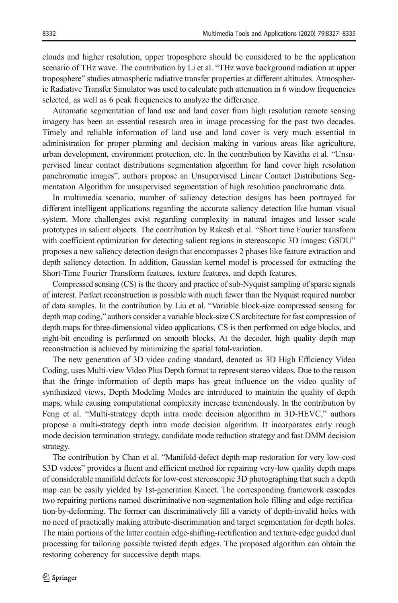clouds and higher resolution, upper troposphere should be considered to be the application scenario of THz wave. The contribution by Li et al. "THz wave background radiation at upper troposphere" studies atmospheric radiative transfer properties at different altitudes. Atmospheric Radiative Transfer Simulator was used to calculate path attenuation in 6 window frequencies selected, as well as 6 peak frequencies to analyze the difference.

Automatic segmentation of land use and land cover from high resolution remote sensing imagery has been an essential research area in image processing for the past two decades. Timely and reliable information of land use and land cover is very much essential in administration for proper planning and decision making in various areas like agriculture, urban development, environment protection, etc. In the contribution by Kavitha et al. "Unsupervised linear contact distributions segmentation algorithm for land cover high resolution panchromatic images", authors propose an Unsupervised Linear Contact Distributions Segmentation Algorithm for unsupervised segmentation of high resolution panchromatic data.

In multimedia scenario, number of saliency detection designs has been portrayed for different intelligent applications regarding the accurate saliency detection like human visual system. More challenges exist regarding complexity in natural images and lesser scale prototypes in salient objects. The contribution by Rakesh et al. "Short time Fourier transform with coefficient optimization for detecting salient regions in stereoscopic 3D images: GSDU" proposes a new saliency detection design that encompasses 2 phases like feature extraction and depth saliency detection. In addition, Gaussian kernel model is processed for extracting the Short-Time Fourier Transform features, texture features, and depth features.

Compressed sensing (CS) is the theory and practice of sub-Nyquist sampling of sparse signals of interest. Perfect reconstruction is possible with much fewer than the Nyquist required number of data samples. In the contribution by Liu et al. "Variable block-size compressed sensing for depth map coding," authors consider a variable block-size CS architecture for fast compression of depth maps for three-dimensional video applications. CS is then performed on edge blocks, and eight-bit encoding is performed on smooth blocks. At the decoder, high quality depth map reconstruction is achieved by minimizing the spatial total-variation.

The new generation of 3D video coding standard, denoted as 3D High Efficiency Video Coding, uses Multi-view Video Plus Depth format to represent stereo videos. Due to the reason that the fringe information of depth maps has great influence on the video quality of synthesized views, Depth Modeling Modes are introduced to maintain the quality of depth maps, while causing computational complexity increase tremendously. In the contribution by Feng et al. "Multi-strategy depth intra mode decision algorithm in 3D-HEVC," authors propose a multi-strategy depth intra mode decision algorithm. It incorporates early rough mode decision termination strategy, candidate mode reduction strategy and fast DMM decision strategy.

The contribution by Chan et al. "Manifold-defect depth-map restoration for very low-cost S3D videos" provides a fluent and efficient method for repairing very-low quality depth maps of considerable manifold defects for low-cost stereoscopic 3D photographing that such a depth map can be easily yielded by 1st-generation Kinect. The corresponding framework cascades two repairing portions named discriminative non-segmentation hole filling and edge rectification-by-deforming. The former can discriminatively fill a variety of depth-invalid holes with no need of practically making attribute-discrimination and target segmentation for depth holes. The main portions of the latter contain edge-shifting-rectification and texture-edge guided dual processing for tailoring possible twisted depth edges. The proposed algorithm can obtain the restoring coherency for successive depth maps.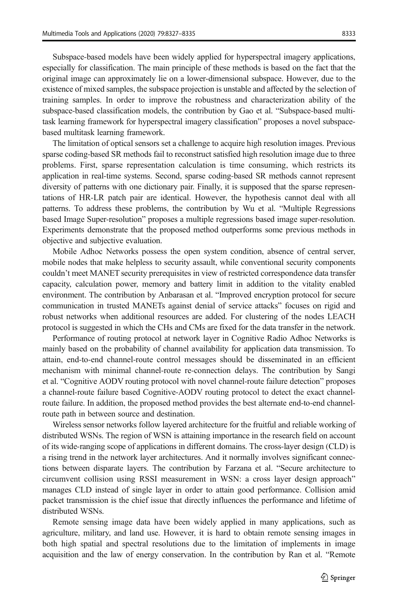Subspace-based models have been widely applied for hyperspectral imagery applications, especially for classification. The main principle of these methods is based on the fact that the original image can approximately lie on a lower-dimensional subspace. However, due to the existence of mixed samples, the subspace projection is unstable and affected by the selection of training samples. In order to improve the robustness and characterization ability of the subspace-based classification models, the contribution by Gao et al. "Subspace-based multitask learning framework for hyperspectral imagery classification" proposes a novel subspacebased multitask learning framework.

The limitation of optical sensors set a challenge to acquire high resolution images. Previous sparse coding-based SR methods fail to reconstruct satisfied high resolution image due to three problems. First, sparse representation calculation is time consuming, which restricts its application in real-time systems. Second, sparse coding-based SR methods cannot represent diversity of patterns with one dictionary pair. Finally, it is supposed that the sparse representations of HR-LR patch pair are identical. However, the hypothesis cannot deal with all patterns. To address these problems, the contribution by Wu et al. "Multiple Regressions based Image Super-resolution" proposes a multiple regressions based image super-resolution. Experiments demonstrate that the proposed method outperforms some previous methods in objective and subjective evaluation.

Mobile Adhoc Networks possess the open system condition, absence of central server, mobile nodes that make helpless to security assault, while conventional security components couldn't meet MANET security prerequisites in view of restricted correspondence data transfer capacity, calculation power, memory and battery limit in addition to the vitality enabled environment. The contribution by Anbarasan et al. "Improved encryption protocol for secure communication in trusted MANETs against denial of service attacks" focuses on rigid and robust networks when additional resources are added. For clustering of the nodes LEACH protocol is suggested in which the CHs and CMs are fixed for the data transfer in the network.

Performance of routing protocol at network layer in Cognitive Radio Adhoc Networks is mainly based on the probability of channel availability for application data transmission. To attain, end-to-end channel-route control messages should be disseminated in an efficient mechanism with minimal channel-route re-connection delays. The contribution by Sangi et al. "Cognitive AODV routing protocol with novel channel-route failure detection" proposes a channel-route failure based Cognitive-AODV routing protocol to detect the exact channelroute failure. In addition, the proposed method provides the best alternate end-to-end channelroute path in between source and destination.

Wireless sensor networks follow layered architecture for the fruitful and reliable working of distributed WSNs. The region of WSN is attaining importance in the research field on account of its wide-ranging scope of applications in different domains. The cross-layer design (CLD) is a rising trend in the network layer architectures. And it normally involves significant connections between disparate layers. The contribution by Farzana et al. "Secure architecture to circumvent collision using RSSI measurement in WSN: a cross layer design approach" manages CLD instead of single layer in order to attain good performance. Collision amid packet transmission is the chief issue that directly influences the performance and lifetime of distributed WSNs.

Remote sensing image data have been widely applied in many applications, such as agriculture, military, and land use. However, it is hard to obtain remote sensing images in both high spatial and spectral resolutions due to the limitation of implements in image acquisition and the law of energy conservation. In the contribution by Ran et al. "Remote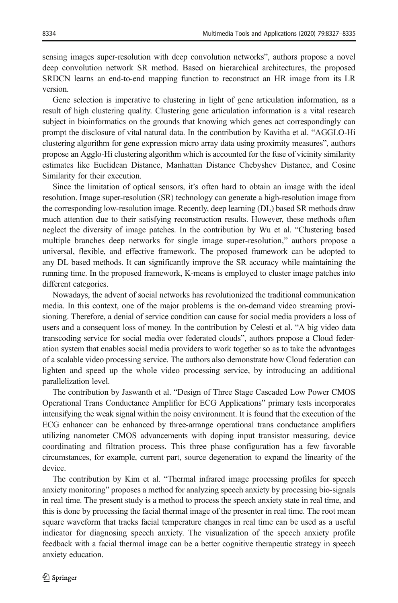sensing images super-resolution with deep convolution networks", authors propose a novel deep convolution network SR method. Based on hierarchical architectures, the proposed SRDCN learns an end-to-end mapping function to reconstruct an HR image from its LR version.

Gene selection is imperative to clustering in light of gene articulation information, as a result of high clustering quality. Clustering gene articulation information is a vital research subject in bioinformatics on the grounds that knowing which genes act correspondingly can prompt the disclosure of vital natural data. In the contribution by Kavitha et al. "AGGLO-Hi clustering algorithm for gene expression micro array data using proximity measures", authors propose an Agglo-Hi clustering algorithm which is accounted for the fuse of vicinity similarity estimates like Euclidean Distance, Manhattan Distance Chebyshev Distance, and Cosine Similarity for their execution.

Since the limitation of optical sensors, it's often hard to obtain an image with the ideal resolution. Image super-resolution (SR) technology can generate a high-resolution image from the corresponding low-resolution image. Recently, deep learning (DL) based SR methods draw much attention due to their satisfying reconstruction results. However, these methods often neglect the diversity of image patches. In the contribution by Wu et al. "Clustering based multiple branches deep networks for single image super-resolution," authors propose a universal, flexible, and effective framework. The proposed framework can be adopted to any DL based methods. It can significantly improve the SR accuracy while maintaining the running time. In the proposed framework, K-means is employed to cluster image patches into different categories.

Nowadays, the advent of social networks has revolutionized the traditional communication media. In this context, one of the major problems is the on-demand video streaming provisioning. Therefore, a denial of service condition can cause for social media providers a loss of users and a consequent loss of money. In the contribution by Celesti et al. "A big video data transcoding service for social media over federated clouds", authors propose a Cloud federation system that enables social media providers to work together so as to take the advantages of a scalable video processing service. The authors also demonstrate how Cloud federation can lighten and speed up the whole video processing service, by introducing an additional parallelization level.

The contribution by Jaswanth et al. "Design of Three Stage Cascaded Low Power CMOS Operational Trans Conductance Amplifier for ECG Applications" primary tests incorporates intensifying the weak signal within the noisy environment. It is found that the execution of the ECG enhancer can be enhanced by three-arrange operational trans conductance amplifiers utilizing nanometer CMOS advancements with doping input transistor measuring, device coordinating and filtration process. This three phase configuration has a few favorable circumstances, for example, current part, source degeneration to expand the linearity of the device.

The contribution by Kim et al. "Thermal infrared image processing profiles for speech anxiety monitoring" proposes a method for analyzing speech anxiety by processing bio-signals in real time. The present study is a method to process the speech anxiety state in real time, and this is done by processing the facial thermal image of the presenter in real time. The root mean square waveform that tracks facial temperature changes in real time can be used as a useful indicator for diagnosing speech anxiety. The visualization of the speech anxiety profile feedback with a facial thermal image can be a better cognitive therapeutic strategy in speech anxiety education.